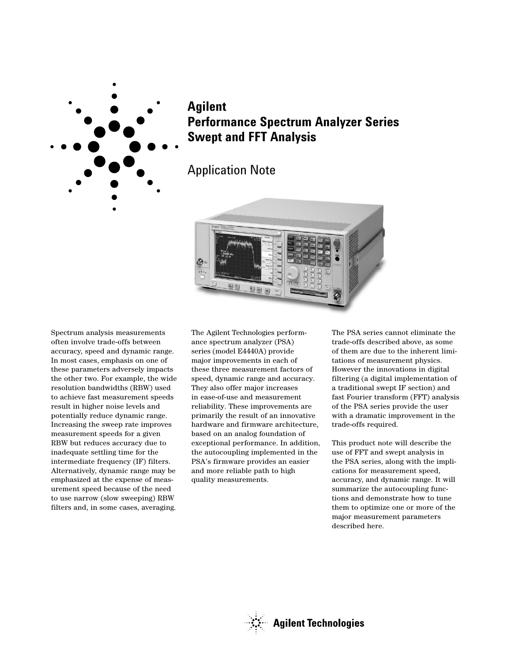

# **Agilent Performance Spectrum Analyzer Series Swept and FFT Analysis**

# Application Note



Spectrum analysis measurements often involve trade-offs between accuracy, speed and dynamic range. In most cases, emphasis on one of these parameters adversely impacts the other two. For example, the wide resolution bandwidths (RBW) used to achieve fast measurement speeds result in higher noise levels and potentially reduce dynamic range. Increasing the sweep rate improves measurement speeds for a given RBW but reduces accuracy due to inadequate settling time for the intermediate frequency (IF) filters. Alternatively, dynamic range may be emphasized at the expense of measurement speed because of the need to use narrow (slow sweeping) RBW filters and, in some cases, averaging.

The Agilent Technologies performance spectrum analyzer (PSA) series (model E4440A) provide major improvements in each of these three measurement factors of speed, dynamic range and accuracy. They also offer major increases in ease-of-use and measurement reliability. These improvements are primarily the result of an innovative hardware and firmware architecture, based on an analog foundation of exceptional performance. In addition, the autocoupling implemented in the PSA's firmware provides an easier and more reliable path to high quality measurements.

The PSA series cannot eliminate the trade-offs described above, as some of them are due to the inherent limitations of measurement physics. However the innovations in digital filtering (a digital implementation of a traditional swept IF section) and fast Fourier transform (FFT) analysis of the PSA series provide the user with a dramatic improvement in the trade-offs required.

This product note will describe the use of FFT and swept analysis in the PSA series, along with the implications for measurement speed, accuracy, and dynamic range. It will summarize the autocoupling functions and demonstrate how to tune them to optimize one or more of the major measurement parameters described here.

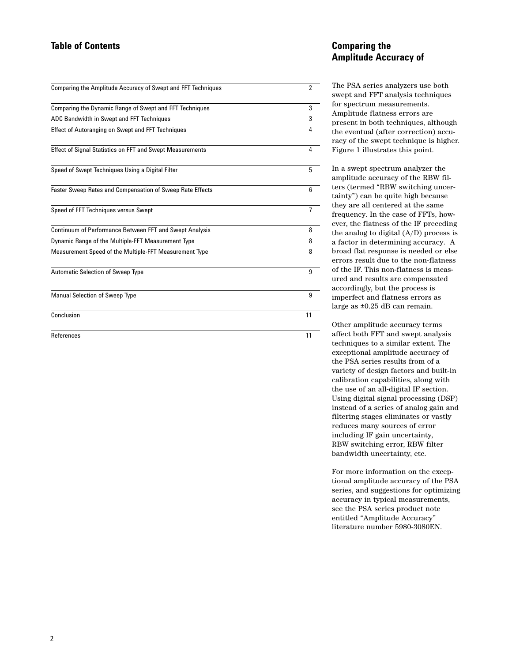## **Table of Contents**

| Comparing the Amplitude Accuracy of Swept and FFT Techniques     | $\overline{2}$ |
|------------------------------------------------------------------|----------------|
| Comparing the Dynamic Range of Swept and FFT Techniques          | 3              |
| ADC Bandwidth in Swept and FFT Techniques                        | 3              |
| <b>Effect of Autoranging on Swept and FFT Techniques</b>         | 4              |
| <b>Effect of Signal Statistics on FFT and Swept Measurements</b> | 4              |
| Speed of Swept Techniques Using a Digital Filter                 | 5              |
| <b>Faster Sweep Rates and Compensation of Sweep Rate Effects</b> | 6              |
| Speed of FFT Techniques versus Swept                             | $\overline{7}$ |
| Continuum of Performance Between FFT and Swept Analysis          | 8              |
| Dynamic Range of the Multiple-FFT Measurement Type               | 8              |
| Measurement Speed of the Multiple-FFT Measurement Type           | 8              |
| <b>Automatic Selection of Sweep Type</b>                         | 9              |
| <b>Manual Selection of Sweep Type</b>                            | 9              |
| Conclusion                                                       | 11             |
| References                                                       | 11             |

### **Comparing the Amplitude Accuracy of**

The PSA series analyzers use both swept and FFT analysis techniques for spectrum measurements. Amplitude flatness errors are present in both techniques, although the eventual (after correction) accuracy of the swept technique is higher. Figure 1 illustrates this point.

In a swept spectrum analyzer the amplitude accuracy of the RBW filters (termed "RBW switching uncertainty") can be quite high because they are all centered at the same frequency. In the case of FFTs, however, the flatness of the IF preceding the analog to digital (A/D) process is a factor in determining accuracy. A broad flat response is needed or else errors result due to the non-flatness of the IF. This non-flatness is measured and results are compensated accordingly, but the process is imperfect and flatness errors as large as ±0.25 dB can remain.

Other amplitude accuracy terms affect both FFT and swept analysis techniques to a similar extent. The exceptional amplitude accuracy of the PSA series results from of a variety of design factors and built-in calibration capabilities, along with the use of an all-digital IF section. Using digital signal processing (DSP) instead of a series of analog gain and filtering stages eliminates or vastly reduces many sources of error including IF gain uncertainty, RBW switching error, RBW filter bandwidth uncertainty, etc.

For more information on the exceptional amplitude accuracy of the PSA series, and suggestions for optimizing accuracy in typical measurements, see the PSA series product note entitled "Amplitude Accuracy" literature number 5980-3080EN.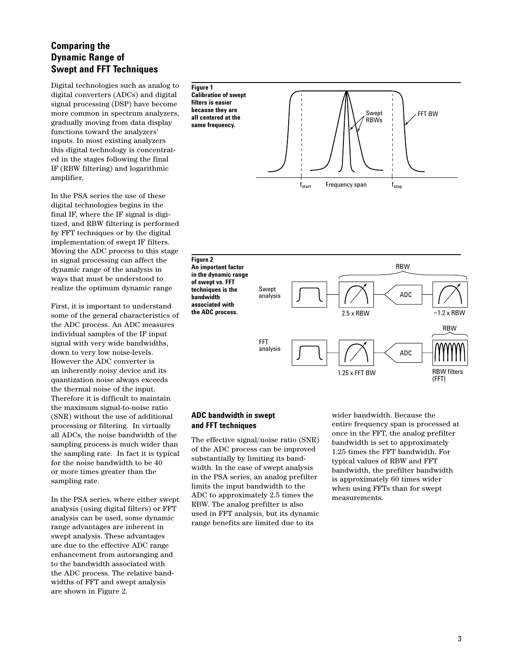# **Comparing the Dynamic Range of Swept and FFT Techniques**

Digital technologies such as analog to digital converters (ADCs) and digital signal processing (DSP) have become more common in spectrum analyzers, gradually moving from data display functions toward the analyzers' inputs. In most existing analyzers this digital technology is concentrated in the stages following the final IF (RBW filtering) and logarithmic amplifier.

In the PSA series the use of these digital technologies begins in the final IF, where the IF signal is digitized, and RBW filtering is performed by FFT techniques or by the digital implementation of swept IF filters. Moving the ADC process to this stage in signal processing can affect the dynamic range of the analysis in ways that must be understood to realize the optimum dynamic range

First, it is important to understand some of the general characteristics of the ADC process. An ADC measures individual samples of the IF input signal with very wide bandwidths, down to very low noise-levels. However the ADC converter is an inherently noisy device and its quantization noise always exceeds the thermal noise of the input. Therefore it is difficult to maintain the maximum signal-to-noise ratio (SNR) without the use of additional processing or filtering. In virtually all ADCs, the noise bandwidth of the sampling process is much wider than the sampling rate. In fact it is typical for the noise bandwidth to be 40 or more times greater than the sampling rate.

In the PSA series, where either swept analysis (using digital filters) or FFT analysis can be used, some dynamic range advantages are inherent in swept analysis. These advantages are due to the effective ADC range enhancement from autoranging and to the bandwidth associated with the ADC process. The relative bandwidths of FFT and swept analysis are shown in Figure 2.



**An important factor in the dynamic range of swept vs. FFT techniques is the bandwidth associated with the ADC process.**



#### **ADC bandwidth in swept and FFT techniques**

The effective signal/noise ratio (SNR) of the ADC process can be improved substantially by limiting its bandwidth. In the case of swept analysis in the PSA series, an analog prefilter limits the input bandwidth to the ADC to approximately 2.5 times the RBW. The analog prefilter is also used in FFT analysis, but its dynamic range benefits are limited due to its

wider bandwidth. Because the entire frequency span is processed at once in the FFT, the analog prefilter bandwidth is set to approximately 1.25 times the FFT bandwidth. For typical values of RBW and FFT bandwidth, the prefilter bandwidth is approximately 60 times wider when using FFTs than for swept measurements.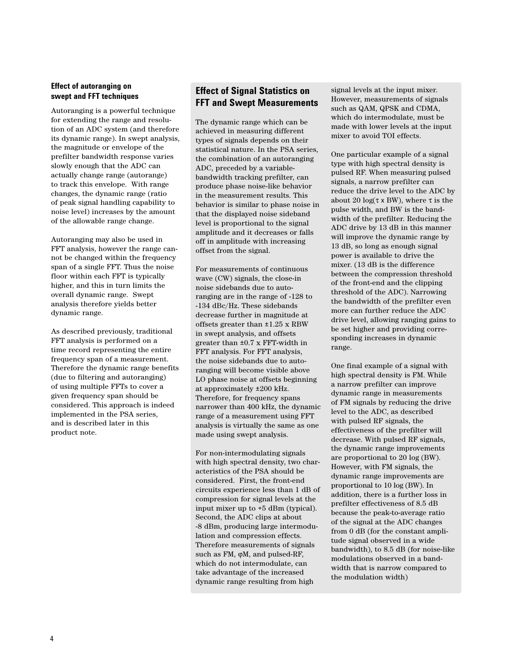#### **Effect of autoranging on swept and FFT techniques**

Autoranging is a powerful technique for extending the range and resolution of an ADC system (and therefore its dynamic range). In swept analysis, the magnitude or envelope of the prefilter bandwidth response varies slowly enough that the ADC can actually change range (autorange) to track this envelope. With range changes, the dynamic range (ratio of peak signal handling capability to noise level) increases by the amount of the allowable range change.

Autoranging may also be used in FFT analysis, however the range cannot be changed within the frequency span of a single FFT. Thus the noise floor within each FFT is typically higher, and this in turn limits the overall dynamic range. Swept analysis therefore yields better dynamic range.

As described previously, traditional FFT analysis is performed on a time record representing the entire frequency span of a measurement. Therefore the dynamic range benefits (due to filtering and autoranging) of using multiple FFTs to cover a given frequency span should be considered. This approach is indeed implemented in the PSA series, and is described later in this product note.

### **Effect of Signal Statistics on FFT and Swept Measurements**

The dynamic range which can be achieved in measuring different types of signals depends on their statistical nature. In the PSA series, the combination of an autoranging ADC, preceded by a variablebandwidth tracking prefilter, can produce phase noise-like behavior in the measurement results. This behavior is similar to phase noise in that the displayed noise sideband level is proportional to the signal amplitude and it decreases or falls off in amplitude with increasing offset from the signal.

For measurements of continuous wave (CW) signals, the close-in noise sidebands due to autoranging are in the range of -128 to -134 dBc/Hz. These sidebands decrease further in magnitude at offsets greater than ±1.25 x RBW in swept analysis, and offsets greater than ±0.7 x FFT-width in FFT analysis. For FFT analysis, the noise sidebands due to autoranging will become visible above LO phase noise at offsets beginning at approximately ±200 kHz. Therefore, for frequency spans narrower than 400 kHz, the dynamic range of a measurement using FFT analysis is virtually the same as one made using swept analysis.

For non-intermodulating signals with high spectral density, two characteristics of the PSA should be considered. First, the front-end circuits experience less than 1 dB of compression for signal levels at the input mixer up to +5 dBm (typical). Second, the ADC clips at about -8 dBm, producing large intermodulation and compression effects. Therefore measurements of signals such as FM, φM, and pulsed-RF, which do not intermodulate, can take advantage of the increased dynamic range resulting from high

signal levels at the input mixer. However, measurements of signals such as QAM, QPSK and CDMA, which do intermodulate, must be made with lower levels at the input mixer to avoid TOI effects.

One particular example of a signal type with high spectral density is pulsed RF. When measuring pulsed signals, a narrow prefilter can reduce the drive level to the ADC by about 20  $log(τ × BW)$ , where τ is the pulse width, and BW is the bandwidth of the prefilter. Reducing the ADC drive by 13 dB in this manner will improve the dynamic range by 13 dB, so long as enough signal power is available to drive the mixer. (13 dB is the difference between the compression threshold of the front-end and the clipping threshold of the ADC). Narrowing the bandwidth of the prefilter even more can further reduce the ADC drive level, allowing ranging gains to be set higher and providing corresponding increases in dynamic range.

One final example of a signal with high spectral density is FM. While a narrow prefilter can improve dynamic range in measurements of FM signals by reducing the drive level to the ADC, as described with pulsed RF signals, the effectiveness of the prefilter will decrease. With pulsed RF signals, the dynamic range improvements are proportional to 20 log (BW). However, with FM signals, the dynamic range improvements are proportional to 10 log (BW). In addition, there is a further loss in prefilter effectiveness of 8.5 dB because the peak-to-average ratio of the signal at the ADC changes from 0 dB (for the constant amplitude signal observed in a wide bandwidth), to 8.5 dB (for noise-like modulations observed in a bandwidth that is narrow compared to the modulation width)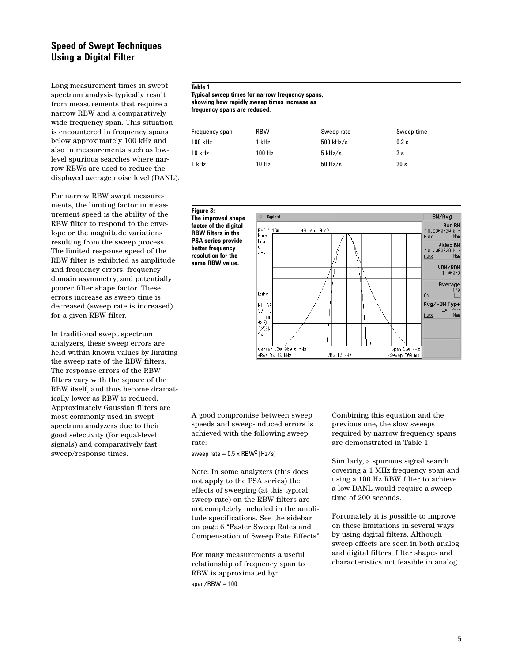## **Speed of Swept Techniques Using a Digital Filter**

Long measurement times in swept spectrum analysis typically result from measurements that require a narrow RBW and a comparatively wide frequency span. This situation is encountered in frequency spans below approximately 100 kHz and also in measurements such as lowlevel spurious searches where narrow RBWs are used to reduce the displayed average noise level (DANL).

For narrow RBW swept measurements, the limiting factor in measurement speed is the ability of the RBW filter to respond to the envelope or the magnitude variations resulting from the sweep process. The limited response speed of the RBW filter is exhibited as amplitude and frequency errors, frequency domain asymmetry, and potentially poorer filter shape factor. These errors increase as sweep time is decreased (sweep rate is increased) for a given RBW filter.

In traditional swept spectrum analyzers, these sweep errors are held within known values by limiting the sweep rate of the RBW filters. The response errors of the RBW filters vary with the square of the RBW itself, and thus become dramatically lower as RBW is reduced. Approximately Gaussian filters are most commonly used in swept spectrum analyzers due to their good selectivity (for equal-level signals) and comparatively fast sweep/response times.

#### **Table 1**

**Typical sweep times for narrow frequency spans, showing how rapidly sweep times increase as frequency spans are reduced.**

| Frequency span | <b>RBW</b> | Sweep rate  | Sweep time |
|----------------|------------|-------------|------------|
| 100 kHz        | 1 kHz      | $500$ kHz/s | 0.2s       |
| 10 kHz         | 100 Hz     | $5$ kHz/s   | 2 s        |
| 1 kHz          | 10 Hz      | $50$ Hz/s   | 20 s       |

**Figure 3: The improved shape factor of the digital RBW filters in the PSA series provide better frequency resolution for the same RBW value.** 



A good compromise between sweep speeds and sweep-induced errors is achieved with the following sweep rate:

sweep rate =  $0.5 \times$  RBW<sup>2</sup> [Hz/s]

Note: In some analyzers (this does not apply to the PSA series) the effects of sweeping (at this typical sweep rate) on the RBW filters are not completely included in the amplitude specifications. See the sidebar on page 6 "Faster Sweep Rates and Compensation of Sweep Rate Effects"

For many measurements a useful relationship of frequency span to RBW is approximated by:  $span/RBW = 100$ 

Combining this equation and the previous one, the slow sweeps required by narrow frequency spans are demonstrated in Table 1.

Similarly, a spurious signal search covering a 1 MHz frequency span and using a 100 Hz RBW filter to achieve a low DANL would require a sweep time of 200 seconds.

Fortunately it is possible to improve on these limitations in several ways by using digital filters. Although sweep effects are seen in both analog and digital filters, filter shapes and characteristics not feasible in analog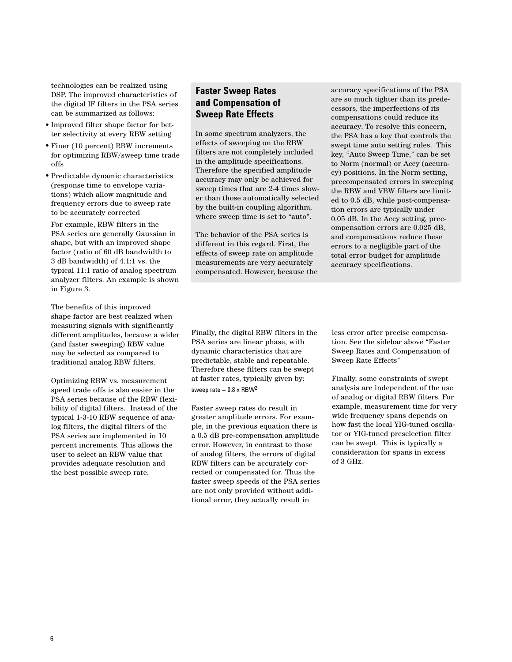technologies can be realized using DSP. The improved characteristics of the digital IF filters in the PSA series can be summarized as follows:

- Improved filter shape factor for better selectivity at every RBW setting
- Finer (10 percent) RBW increments for optimizing RBW/sweep time trade offs
- Predictable dynamic characteristics (response time to envelope variations) which allow magnitude and frequency errors due to sweep rate to be accurately corrected

For example, RBW filters in the PSA series are generally Gaussian in shape, but with an improved shape factor (ratio of 60 dB bandwidth to 3 dB bandwidth) of 4.1:1 vs. the typical 11:1 ratio of analog spectrum analyzer filters. An example is shown in Figure 3.

The benefits of this improved shape factor are best realized when measuring signals with significantly different amplitudes, because a wider (and faster sweeping) RBW value may be selected as compared to traditional analog RBW filters.

Optimizing RBW vs. measurement speed trade offs is also easier in the PSA series because of the RBW flexibility of digital filters. Instead of the typical 1-3-10 RBW sequence of analog filters, the digital filters of the PSA series are implemented in 10 percent increments. This allows the user to select an RBW value that provides adequate resolution and the best possible sweep rate.

# **Faster Sweep Rates and Compensation of Sweep Rate Effects**

In some spectrum analyzers, the effects of sweeping on the RBW filters are not completely included in the amplitude specifications. Therefore the specified amplitude accuracy may only be achieved for sweep times that are 2-4 times slower than those automatically selected by the built-in coupling algorithm, where sweep time is set to "auto".

The behavior of the PSA series is different in this regard. First, the effects of sweep rate on amplitude measurements are very accurately compensated. However, because the accuracy specifications of the PSA are so much tighter than its predecessors, the imperfections of its compensations could reduce its accuracy. To resolve this concern, the PSA has a key that controls the swept time auto setting rules. This key, "Auto Sweep Time," can be set to Norm (normal) or Accy (accuracy) positions. In the Norm setting, precompensated errors in sweeping the RBW and VBW filters are limited to 0.5 dB, while post-compensation errors are typically under 0.05 dB. In the Accy setting, precompensation errors are 0.025 dB, and compensations reduce these errors to a negligible part of the total error budget for amplitude accuracy specifications.

Finally, the digital RBW filters in the PSA series are linear phase, with dynamic characteristics that are predictable, stable and repeatable. Therefore these filters can be swept at faster rates, typically given by: sweep rate =  $0.8 \times$  RBW<sup>2</sup>

Faster sweep rates do result in greater amplitude errors. For example, in the previous equation there is a 0.5 dB pre-compensation amplitude error. However, in contrast to those of analog filters, the errors of digital RBW filters can be accurately corrected or compensated for. Thus the faster sweep speeds of the PSA series are not only provided without additional error, they actually result in

less error after precise compensation. See the sidebar above "Faster Sweep Rates and Compensation of Sweep Rate Effects"

Finally, some constraints of swept analysis are independent of the use of analog or digital RBW filters. For example, measurement time for very wide frequency spans depends on how fast the local YIG-tuned oscillator or YIG-tuned preselection filter can be swept. This is typically a consideration for spans in excess of 3 GHz.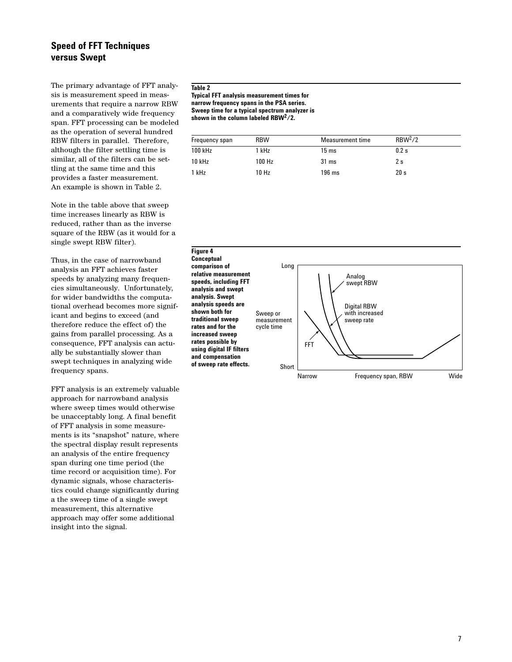## **Speed of FFT Techniques versus Swept**

The primary advantage of FFT analysis is measurement speed in measurements that require a narrow RBW and a comparatively wide frequency span. FFT processing can be modeled as the operation of several hundred RBW filters in parallel. Therefore, although the filter settling time is similar, all of the filters can be settling at the same time and this provides a faster measurement. An example is shown in Table 2.

Note in the table above that sweep time increases linearly as RBW is reduced, rather than as the inverse square of the RBW (as it would for a single swept RBW filter).

Thus, in the case of narrowband analysis an FFT achieves faster speeds by analyzing many frequencies simultaneously. Unfortunately, for wider bandwidths the computational overhead becomes more significant and begins to exceed (and therefore reduce the effect of) the gains from parallel processing. As a consequence, FFT analysis can actually be substantially slower than swept techniques in analyzing wide frequency spans.

FFT analysis is an extremely valuable approach for narrowband analysis where sweep times would otherwise be unacceptably long. A final benefit of FFT analysis in some measurements is its "snapshot" nature, where the spectral display result represents an analysis of the entire frequency span during one time period (the time record or acquisition time). For dynamic signals, whose characteristics could change significantly during a the sweep time of a single swept measurement, this alternative approach may offer some additional insight into the signal.

#### **Table 2**

**Typical FFT analysis measurement times for narrow frequency spans in the PSA series. Sweep time for a typical spectrum analyzer is shown in the column labeled RBW2/2.**

| Frequency span | <b>RBW</b> | Measurement time | RBW <sup>2</sup> /2 |
|----------------|------------|------------------|---------------------|
| 100 kHz        | 1 kHz      | $15 \text{ ms}$  | $0.2$ s             |
| $10$ kHz       | 100 Hz     | $31 \text{ ms}$  | 2 s                 |
| 1 kHz          | 10 Hz      | $196$ ms         | 20 s                |

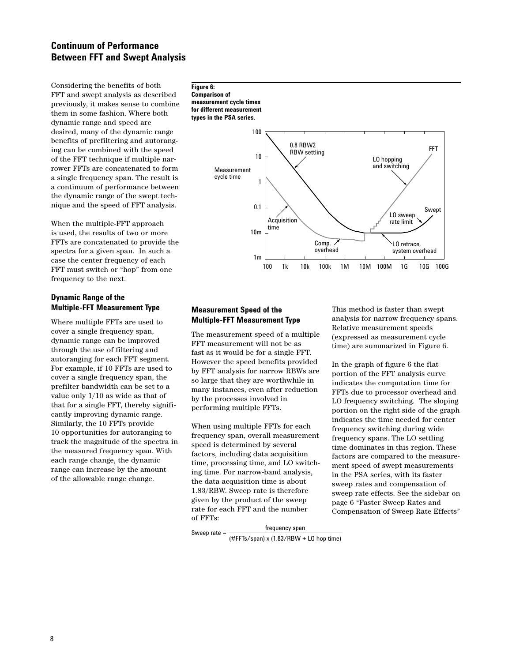# **Continuum of Performance Between FFT and Swept Analysis**

Considering the benefits of both FFT and swept analysis as described previously, it makes sense to combine them in some fashion. Where both dynamic range and speed are desired, many of the dynamic range benefits of prefiltering and autoranging can be combined with the speed of the FFT technique if multiple narrower FFTs are concatenated to form a single frequency span. The result is a continuum of performance between the dynamic range of the swept technique and the speed of FFT analysis.

When the multiple-FFT approach is used, the results of two or more FFTs are concatenated to provide the spectra for a given span. In such a case the center frequency of each FFT must switch or "hop" from one frequency to the next.

#### **Dynamic Range of the Multiple-FFT Measurement Type**

Where multiple FFTs are used to cover a single frequency span, dynamic range can be improved through the use of filtering and autoranging for each FFT segment. For example, if 10 FFTs are used to cover a single frequency span, the prefilter bandwidth can be set to a value only 1/10 as wide as that of that for a single FFT, thereby significantly improving dynamic range. Similarly, the 10 FFTs provide 10 opportunities for autoranging to track the magnitude of the spectra in the measured frequency span. With each range change, the dynamic range can increase by the amount of the allowable range change.

**Figure 6: Comparison of measurement cycle times for different measurement types in the PSA series.**



### **Measurement Speed of the Multiple-FFT Measurement Type**

The measurement speed of a multiple FFT measurement will not be as fast as it would be for a single FFT. However the speed benefits provided by FFT analysis for narrow RBWs are so large that they are worthwhile in many instances, even after reduction by the processes involved in performing multiple FFTs.

When using multiple FFTs for each frequency span, overall measurement speed is determined by several factors, including data acquisition time, processing time, and LO switching time. For narrow-band analysis, the data acquisition time is about 1.83/RBW. Sweep rate is therefore given by the product of the sweep rate for each FFT and the number of FFTs:

This method is faster than swept analysis for narrow frequency spans. Relative measurement speeds (expressed as measurement cycle time) are summarized in Figure 6.

In the graph of figure 6 the flat portion of the FFT analysis curve indicates the computation time for FFTs due to processor overhead and LO frequency switching. The sloping portion on the right side of the graph indicates the time needed for center frequency switching during wide frequency spans. The LO settling time dominates in this region. These factors are compared to the measurement speed of swept measurements in the PSA series, with its faster sweep rates and compensation of sweep rate effects. See the sidebar on page 6 "Faster Sweep Rates and Compensation of Sweep Rate Effects"

Sweep rate =  $f$ 

(#FFTs/span) x (1.83/RBW + LO hop time)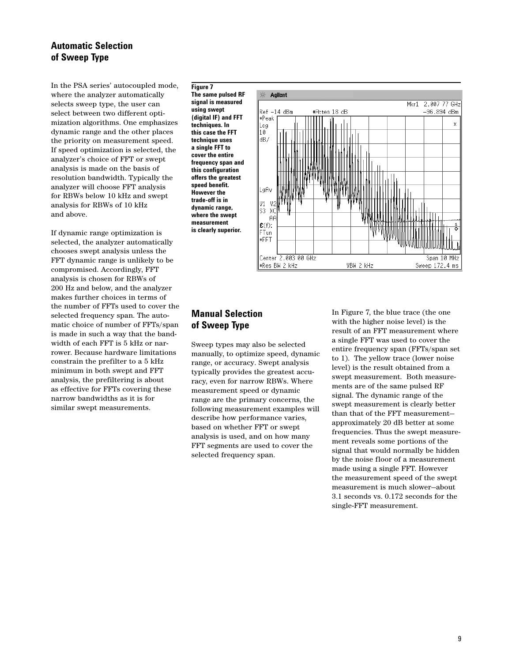## **Automatic Selection of Sweep Type**

In the PSA series' autocoupled mode, where the analyzer automatically selects sweep type, the user can select between two different optimization algorithms. One emphasizes dynamic range and the other places the priority on measurement speed. If speed optimization is selected, the analyzer's choice of FFT or swept analysis is made on the basis of resolution bandwidth. Typically the analyzer will choose FFT analysis for RBWs below 10 kHz and swept analysis for RBWs of 10 kHz and above.

If dynamic range optimization is selected, the analyzer automatically chooses swept analysis unless the FFT dynamic range is unlikely to be compromised. Accordingly, FFT analysis is chosen for RBWs of 200 Hz and below, and the analyzer makes further choices in terms of the number of FFTs used to cover the selected frequency span. The automatic choice of number of FFTs/span is made in such a way that the bandwidth of each FFT is 5 kHz or narrower. Because hardware limitations constrain the prefilter to a 5 kHz minimum in both swept and FFT analysis, the prefiltering is about as effective for FFTs covering these narrow bandwidths as it is for similar swept measurements.

**Figure 7 The same pulsed RF signal is measured using swept (digital IF) and FFT techniques. In this case the FFT technique uses a single FFT to cover the entire frequency span and this configuration offers the greatest speed benefit. However the trade-off is in dynamic range, where the swept measurement is clearly superior.**



# **Manual Selection of Sweep Type**

Sweep types may also be selected manually, to optimize speed, dynamic range, or accuracy. Swept analysis typically provides the greatest accuracy, even for narrow RBWs. Where measurement speed or dynamic range are the primary concerns, the following measurement examples will describe how performance varies, based on whether FFT or swept analysis is used, and on how many FFT segments are used to cover the selected frequency span.

In Figure 7, the blue trace (the one with the higher noise level) is the result of an FFT measurement where a single FFT was used to cover the entire frequency span (FFTs/span set to 1). The yellow trace (lower noise level) is the result obtained from a swept measurement. Both measurements are of the same pulsed RF signal. The dynamic range of the swept measurement is clearly better than that of the FFT measurement approximately 20 dB better at some frequencies. Thus the swept measurement reveals some portions of the signal that would normally be hidden by the noise floor of a measurement made using a single FFT. However the measurement speed of the swept measurement is much slower—about 3.1 seconds vs. 0.172 seconds for the single-FFT measurement.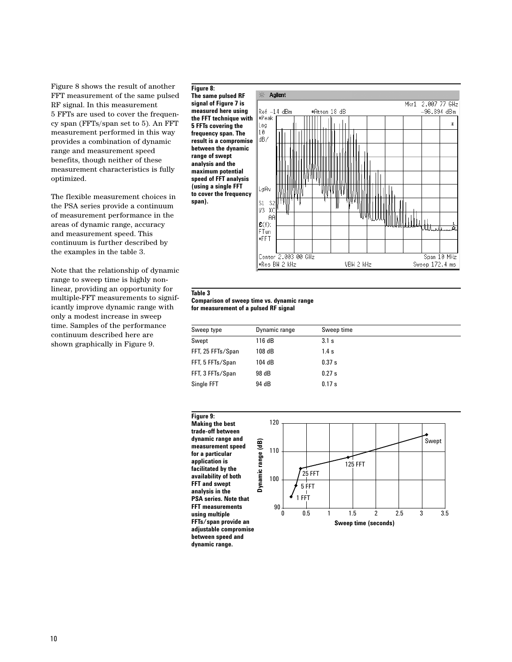Figure 8 shows the result of another FFT measurement of the same pulsed RF signal. In this measurement 5 FFTs are used to cover the frequency span (FFTs/span set to 5). An FFT measurement performed in this way provides a combination of dynamic range and measurement speed benefits, though neither of these measurement characteristics is fully optimized.

The flexible measurement choices in the PSA series provide a continuum of measurement performance in the areas of dynamic range, accuracy and measurement speed. This continuum is further described by the examples in the table 3.

Note that the relationship of dynamic range to sweep time is highly nonlinear, providing an opportunity for multiple-FFT measurements to significantly improve dynamic range with only a modest increase in sweep time. Samples of the performance continuum described here are shown graphically in Figure 9.

**Figure 8: The same pulsed RF signal of Figure 7 is measured here using the FFT technique with 5 FFTs covering the frequency span. The result is a compromise between the dynamic range of swept analysis and the maximum potential speed of FFT analysis (using a single FFT to cover the frequency span).**



#### **Table 3**

#### **Comparison of sweep time vs. dynamic range for measurement of a pulsed RF signal**

| Sweep type        | Dynamic range | Sweep time |
|-------------------|---------------|------------|
| Swept             | 116 dB        | 3.1 s      |
| FFT, 25 FFTs/Span | 108 dB        | 1.4 s      |
| FFT, 5 FFTs/Span  | 104 dB        | 0.37 s     |
| FFT, 3 FFTs/Span  | 98 dB         | 0.27s      |
| Single FFT        | 94 dB         | 0.17 s     |

**Figure 9:**  120 **Making the best trade-off between dynamic range and**  Swept**Dynamic range (dB)** Dynamic range (dB) **measurement speed**  110 **for a particular application is**  125 FFT **facilitated by the**  25 FFT **availability of both**  100 **FFT and swept**  5 FFT **analysis in the**  1 FFT **PSA series. Note that FFT measurements**   $\frac{1}{90}$ **using multiple**  0 0.5 1 1.5 2 2.5 3 3.5 **FFTs/span provide an Sweep time (seconds) adjustable compromise between speed and dynamic range.**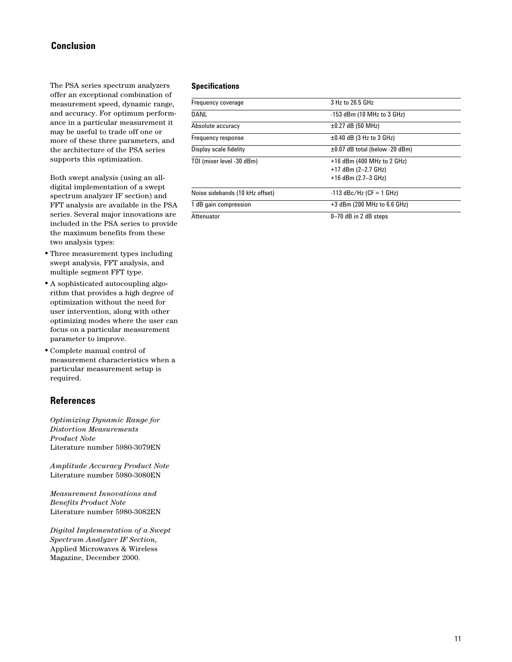## **Conclusion**

The PSA series spectrum analyzers offer an exceptional combination of measurement speed, dynamic range, and accuracy. For optimum performance in a particular measurement it may be useful to trade off one or more of these three parameters, and the architecture of the PSA series supports this optimization.

Both swept analysis (using an alldigital implementation of a swept spectrum analyzer IF section) and FFT analysis are available in the PSA series. Several major innovations are included in the PSA series to provide the maximum benefits from these two analysis types:

- Three measurement types including swept analysis, FFT analysis, and multiple segment FFT type.
- A sophisticated autocoupling algorithm that provides a high degree of optimization without the need for user intervention, along with other optimizing modes where the user can focus on a particular measurement parameter to improve.
- Complete manual control of measurement characteristics when a particular measurement setup is required.

### **References**

*Optimizing Dynamic Range for Distortion Measurements Product Note* Literature number 5980-3079EN

*Amplitude Accuracy Product Note* Literature number 5980-3080EN

*Measurement Innovations and Benefits Product Note* Literature number 5980-3082EN

*Digital Implementation of a Swept Spectrum Analyzer IF Section*, Applied Microwaves & Wireless Magazine, December 2000.

#### **Specifications**

| Frequency coverage              | 3 Hz to 26.5 GHz                    |  |
|---------------------------------|-------------------------------------|--|
| <b>DANL</b>                     | $-153$ dBm (10 MHz to 3 GHz)        |  |
| Absolute accuracy               | $\pm 0.27$ dB (50 MHz)              |  |
| Frequency response              | $\pm 0.40$ dB (3 Hz to 3 GHz)       |  |
| Display scale fidelity          | $\pm 0.07$ dB total (below -20 dBm) |  |
| TOI (mixer level -30 dBm)       | +16 dBm (400 MHz to 2 GHz)          |  |
|                                 | $+17$ dBm (2-2.7 GHz)               |  |
|                                 | $+16$ dBm (2.7-3 GHz)               |  |
| Noise sidebands (10 kHz offset) | $-113$ dBc/Hz (CF = 1 GHz)          |  |
| 1 dB gain compression           | $+3$ dBm (200 MHz to 6.6 GHz)       |  |
| Attenuator                      | $0 - 70$ dB in 2 dB steps           |  |